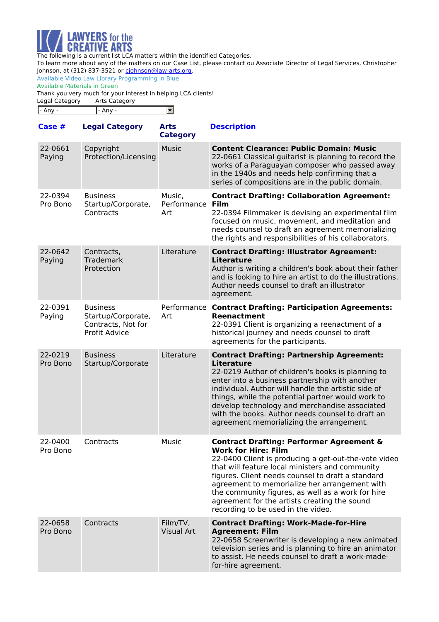

To learn more about any of the matters on our Case List, please contact ou Associate Director of Legal Services, Christopher Johnson, at (312) 837-3521 or [cjohnson@law-arts.org](mailto:cjohnson@law-arts.org).

Available Video Law Library Programming in Blue Available Materials in Green

Thank you very much for your interest in helping LCA clients!

| Legal Category | Arts Category |  |
|----------------|---------------|--|
| - Any -        | - Any -       |  |

| Case $#$            | <b>Legal Category</b>                                                               | <b>Arts</b><br><b>Category</b>    | <b>Description</b>                                                                                                                                                                                                                                                                                                                                                                                                                            |
|---------------------|-------------------------------------------------------------------------------------|-----------------------------------|-----------------------------------------------------------------------------------------------------------------------------------------------------------------------------------------------------------------------------------------------------------------------------------------------------------------------------------------------------------------------------------------------------------------------------------------------|
| 22-0661<br>Paying   | Copyright<br>Protection/Licensing                                                   | <b>Music</b>                      | <b>Content Clearance: Public Domain: Music</b><br>22-0661 Classical guitarist is planning to record the<br>works of a Paraguayan composer who passed away<br>in the 1940s and needs help confirming that a<br>series of compositions are in the public domain.                                                                                                                                                                                |
| 22-0394<br>Pro Bono | <b>Business</b><br>Startup/Corporate,<br>Contracts                                  | Music,<br>Performance Film<br>Art | <b>Contract Drafting: Collaboration Agreement:</b><br>22-0394 Filmmaker is devising an experimental film<br>focused on music, movement, and meditation and<br>needs counsel to draft an agreement memorializing<br>the rights and responsibilities of his collaborators.                                                                                                                                                                      |
| 22-0642<br>Paying   | Contracts,<br><b>Trademark</b><br>Protection                                        | Literature                        | <b>Contract Drafting: Illustrator Agreement:</b><br><b>Literature</b><br>Author is writing a children's book about their father<br>and is looking to hire an artist to do the illustrations.<br>Author needs counsel to draft an illustrator<br>agreement.                                                                                                                                                                                    |
| 22-0391<br>Paying   | <b>Business</b><br>Startup/Corporate,<br>Contracts, Not for<br><b>Profit Advice</b> | Art                               | Performance Contract Drafting: Participation Agreements:<br>Reenactment<br>22-0391 Client is organizing a reenactment of a<br>historical journey and needs counsel to draft<br>agreements for the participants.                                                                                                                                                                                                                               |
| 22-0219<br>Pro Bono | <b>Business</b><br>Startup/Corporate                                                | Literature                        | <b>Contract Drafting: Partnership Agreement:</b><br><b>Literature</b><br>22-0219 Author of children's books is planning to<br>enter into a business partnership with another<br>individual. Author will handle the artistic side of<br>things, while the potential partner would work to<br>develop technology and merchandise associated<br>with the books. Author needs counsel to draft an<br>agreement memorializing the arrangement.     |
| 22-0400<br>Pro Bono | Contracts                                                                           | Music                             | <b>Contract Drafting: Performer Agreement &amp;</b><br><b>Work for Hire: Film</b><br>22-0400 Client is producing a get-out-the-vote video<br>that will feature local ministers and community<br>figures. Client needs counsel to draft a standard<br>agreement to memorialize her arrangement with<br>the community figures, as well as a work for hire<br>agreement for the artists creating the sound<br>recording to be used in the video. |
| 22-0658<br>Pro Bono | Contracts                                                                           | Film/TV,<br><b>Visual Art</b>     | <b>Contract Drafting: Work-Made-for-Hire</b><br><b>Agreement: Film</b><br>22-0658 Screenwriter is developing a new animated<br>television series and is planning to hire an animator<br>to assist. He needs counsel to draft a work-made-<br>for-hire agreement.                                                                                                                                                                              |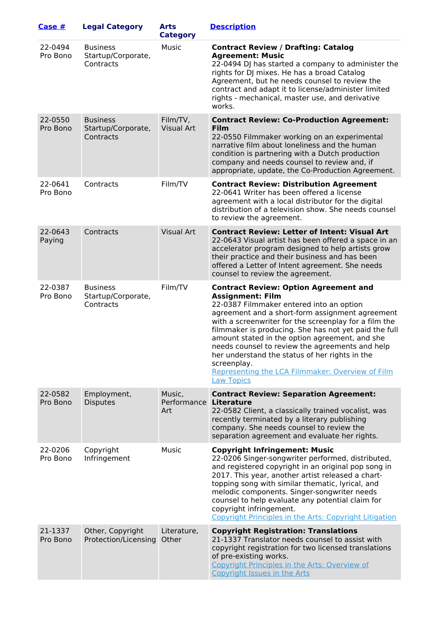| Case $#$            | <b>Legal Category</b>                              | <b>Arts</b><br><b>Category</b> | <b>Description</b>                                                                                                                                                                                                                                                                                                                                                                                                                                                                                                                      |
|---------------------|----------------------------------------------------|--------------------------------|-----------------------------------------------------------------------------------------------------------------------------------------------------------------------------------------------------------------------------------------------------------------------------------------------------------------------------------------------------------------------------------------------------------------------------------------------------------------------------------------------------------------------------------------|
| 22-0494<br>Pro Bono | <b>Business</b><br>Startup/Corporate,<br>Contracts | Music                          | <b>Contract Review / Drafting: Catalog</b><br><b>Agreement: Music</b><br>22-0494 DJ has started a company to administer the<br>rights for DJ mixes. He has a broad Catalog<br>Agreement, but he needs counsel to review the<br>contract and adapt it to license/administer limited<br>rights - mechanical, master use, and derivative<br>works.                                                                                                                                                                                         |
| 22-0550<br>Pro Bono | <b>Business</b><br>Startup/Corporate,<br>Contracts | Film/TV,<br><b>Visual Art</b>  | <b>Contract Review: Co-Production Agreement:</b><br>Film<br>22-0550 Filmmaker working on an experimental<br>narrative film about loneliness and the human<br>condition is partnering with a Dutch production<br>company and needs counsel to review and, if<br>appropriate, update, the Co-Production Agreement.                                                                                                                                                                                                                        |
| 22-0641<br>Pro Bono | Contracts                                          | Film/TV                        | <b>Contract Review: Distribution Agreement</b><br>22-0641 Writer has been offered a license<br>agreement with a local distributor for the digital<br>distribution of a television show. She needs counsel<br>to review the agreement.                                                                                                                                                                                                                                                                                                   |
| 22-0643<br>Paying   | Contracts                                          | <b>Visual Art</b>              | <b>Contract Review: Letter of Intent: Visual Art</b><br>22-0643 Visual artist has been offered a space in an<br>accelerator program designed to help artists grow<br>their practice and their business and has been<br>offered a Letter of Intent agreement. She needs<br>counsel to review the agreement.                                                                                                                                                                                                                              |
| 22-0387<br>Pro Bono | <b>Business</b><br>Startup/Corporate,<br>Contracts | Film/TV                        | <b>Contract Review: Option Agreement and</b><br><b>Assignment: Film</b><br>22-0387 Filmmaker entered into an option<br>agreement and a short-form assignment agreement<br>with a screenwriter for the screenplay for a film the<br>filmmaker is producing. She has not yet paid the full<br>amount stated in the option agreement, and she<br>needs counsel to review the agreements and help<br>her understand the status of her rights in the<br>screenplay.<br>Representing the LCA Filmmaker: Overview of Film<br><b>Law Topics</b> |
| 22-0582<br>Pro Bono | Employment,<br><b>Disputes</b>                     | Music,<br>Performance<br>Art   | <b>Contract Review: Separation Agreement:</b><br>Literature<br>22-0582 Client, a classically trained vocalist, was<br>recently terminated by a literary publishing<br>company. She needs counsel to review the<br>separation agreement and evaluate her rights.                                                                                                                                                                                                                                                                         |
| 22-0206<br>Pro Bono | Copyright<br>Infringement                          | Music                          | <b>Copyright Infringement: Music</b><br>22-0206 Singer-songwriter performed, distributed,<br>and registered copyright in an original pop song in<br>2017. This year, another artist released a chart-<br>topping song with similar thematic, lyrical, and<br>melodic components. Singer-songwriter needs<br>counsel to help evaluate any potential claim for<br>copyright infringement.<br>Copyright Principles in the Arts: Copyright Litigation                                                                                       |
| 21-1337<br>Pro Bono | Other, Copyright<br>Protection/Licensing           | Literature,<br>Other           | <b>Copyright Registration: Translations</b><br>21-1337 Translator needs counsel to assist with<br>copyright registration for two licensed translations<br>of pre-existing works.<br>Copyright Principles in the Arts: Overview of<br><b>Copyright Issues in the Arts</b>                                                                                                                                                                                                                                                                |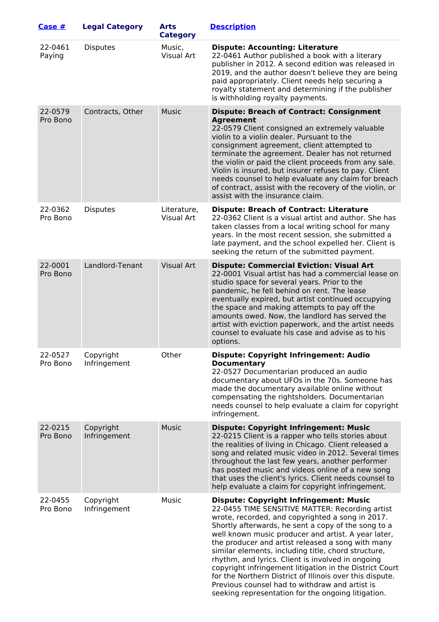| Case $#$            | <b>Legal Category</b>     | <b>Arts</b><br><b>Category</b> | <b>Description</b>                                                                                                                                                                                                                                                                                                                                                                                                                                                                                                                                                                                                                                                 |
|---------------------|---------------------------|--------------------------------|--------------------------------------------------------------------------------------------------------------------------------------------------------------------------------------------------------------------------------------------------------------------------------------------------------------------------------------------------------------------------------------------------------------------------------------------------------------------------------------------------------------------------------------------------------------------------------------------------------------------------------------------------------------------|
| 22-0461<br>Paying   | <b>Disputes</b>           | Music,<br>Visual Art           | <b>Dispute: Accounting: Literature</b><br>22-0461 Author published a book with a literary<br>publisher in 2012. A second edition was released in<br>2019, and the author doesn't believe they are being<br>paid appropriately. Client needs help securing a<br>royalty statement and determining if the publisher<br>is withholding royalty payments.                                                                                                                                                                                                                                                                                                              |
| 22-0579<br>Pro Bono | Contracts, Other          | <b>Music</b>                   | <b>Dispute: Breach of Contract: Consignment</b><br><b>Agreement</b><br>22-0579 Client consigned an extremely valuable<br>violin to a violin dealer. Pursuant to the<br>consignment agreement, client attempted to<br>terminate the agreement. Dealer has not returned<br>the violin or paid the client proceeds from any sale.<br>Violin is insured, but insurer refuses to pay. Client<br>needs counsel to help evaluate any claim for breach<br>of contract, assist with the recovery of the violin, or<br>assist with the insurance claim.                                                                                                                      |
| 22-0362<br>Pro Bono | <b>Disputes</b>           | Literature,<br>Visual Art      | <b>Dispute: Breach of Contract: Literature</b><br>22-0362 Client is a visual artist and author. She has<br>taken classes from a local writing school for many<br>years. In the most recent session, she submitted a<br>late payment, and the school expelled her. Client is<br>seeking the return of the submitted payment.                                                                                                                                                                                                                                                                                                                                        |
| 22-0001<br>Pro Bono | Landlord-Tenant           | <b>Visual Art</b>              | <b>Dispute: Commercial Eviction: Visual Art</b><br>22-0001 Visual artist has had a commercial lease on<br>studio space for several years. Prior to the<br>pandemic, he fell behind on rent. The lease<br>eventually expired, but artist continued occupying<br>the space and making attempts to pay off the<br>amounts owed. Now, the landlord has served the<br>artist with eviction paperwork, and the artist needs<br>counsel to evaluate his case and advise as to his<br>options.                                                                                                                                                                             |
| 22-0527<br>Pro Bono | Copyright<br>Infringement | Other                          | <b>Dispute: Copyright Infringement: Audio</b><br><b>Documentary</b><br>22-0527 Documentarian produced an audio<br>documentary about UFOs in the 70s. Someone has<br>made the documentary available online without<br>compensating the rightsholders. Documentarian<br>needs counsel to help evaluate a claim for copyright<br>infringement.                                                                                                                                                                                                                                                                                                                        |
| 22-0215<br>Pro Bono | Copyright<br>Infringement | <b>Music</b>                   | <b>Dispute: Copyright Infringement: Music</b><br>22-0215 Client is a rapper who tells stories about<br>the realities of living in Chicago. Client released a<br>song and related music video in 2012. Several times<br>throughout the last few years, another performer<br>has posted music and videos online of a new song<br>that uses the client's lyrics. Client needs counsel to<br>help evaluate a claim for copyright infringement.                                                                                                                                                                                                                         |
| 22-0455<br>Pro Bono | Copyright<br>Infringement | Music                          | <b>Dispute: Copyright Infringement: Music</b><br>22-0455 TIME SENSITIVE MATTER: Recording artist<br>wrote, recorded, and copyrighted a song in 2017.<br>Shortly afterwards, he sent a copy of the song to a<br>well known music producer and artist. A year later,<br>the producer and artist released a song with many<br>similar elements, including title, chord structure,<br>rhythm, and lyrics. Client is involved in ongoing<br>copyright infringement litigation in the District Court<br>for the Northern District of Illinois over this dispute.<br>Previous counsel had to withdraw and artist is<br>seeking representation for the ongoing litigation. |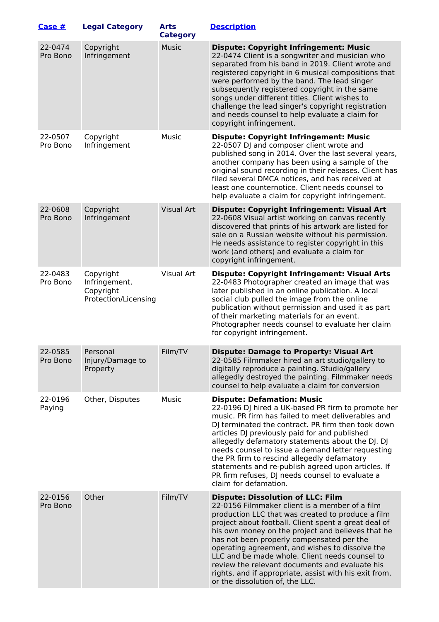| Case #              | <b>Legal Category</b>                                           | <b>Arts</b><br><b>Category</b> | <b>Description</b>                                                                                                                                                                                                                                                                                                                                                                                                                                                                                                                                            |
|---------------------|-----------------------------------------------------------------|--------------------------------|---------------------------------------------------------------------------------------------------------------------------------------------------------------------------------------------------------------------------------------------------------------------------------------------------------------------------------------------------------------------------------------------------------------------------------------------------------------------------------------------------------------------------------------------------------------|
| 22-0474<br>Pro Bono | Copyright<br>Infringement                                       | <b>Music</b>                   | <b>Dispute: Copyright Infringement: Music</b><br>22-0474 Client is a songwriter and musician who<br>separated from his band in 2019. Client wrote and<br>registered copyright in 6 musical compositions that<br>were performed by the band. The lead singer<br>subsequently registered copyright in the same<br>songs under different titles. Client wishes to<br>challenge the lead singer's copyright registration<br>and needs counsel to help evaluate a claim for<br>copyright infringement.                                                             |
| 22-0507<br>Pro Bono | Copyright<br>Infringement                                       | Music                          | <b>Dispute: Copyright Infringement: Music</b><br>22-0507 DJ and composer client wrote and<br>published song in 2014. Over the last several years,<br>another company has been using a sample of the<br>original sound recording in their releases. Client has<br>filed several DMCA notices, and has received at<br>least one counternotice. Client needs counsel to<br>help evaluate a claim for copyright infringement.                                                                                                                                     |
| 22-0608<br>Pro Bono | Copyright<br>Infringement                                       | <b>Visual Art</b>              | <b>Dispute: Copyright Infringement: Visual Art</b><br>22-0608 Visual artist working on canvas recently<br>discovered that prints of his artwork are listed for<br>sale on a Russian website without his permission.<br>He needs assistance to register copyright in this<br>work (and others) and evaluate a claim for<br>copyright infringement.                                                                                                                                                                                                             |
| 22-0483<br>Pro Bono | Copyright<br>Infringement,<br>Copyright<br>Protection/Licensing | Visual Art                     | <b>Dispute: Copyright Infringement: Visual Arts</b><br>22-0483 Photographer created an image that was<br>later published in an online publication. A local<br>social club pulled the image from the online<br>publication without permission and used it as part<br>of their marketing materials for an event.<br>Photographer needs counsel to evaluate her claim<br>for copyright infringement.                                                                                                                                                             |
| 22-0585<br>Pro Bono | Personal<br>Injury/Damage to<br>Property                        | Film/TV                        | <b>Dispute: Damage to Property: Visual Art</b><br>22-0585 Filmmaker hired an art studio/gallery to<br>digitally reproduce a painting. Studio/gallery<br>allegedly destroyed the painting. Filmmaker needs<br>counsel to help evaluate a claim for conversion                                                                                                                                                                                                                                                                                                  |
| 22-0196<br>Paying   | Other, Disputes                                                 | Music                          | <b>Dispute: Defamation: Music</b><br>22-0196 DJ hired a UK-based PR firm to promote her<br>music. PR firm has failed to meet deliverables and<br>DJ terminated the contract. PR firm then took down<br>articles DJ previously paid for and published<br>allegedly defamatory statements about the DJ. DJ<br>needs counsel to issue a demand letter requesting<br>the PR firm to rescind allegedly defamatory<br>statements and re-publish agreed upon articles. If<br>PR firm refuses, DJ needs counsel to evaluate a<br>claim for defamation.                |
| 22-0156<br>Pro Bono | Other                                                           | Film/TV                        | <b>Dispute: Dissolution of LLC: Film</b><br>22-0156 Filmmaker client is a member of a film<br>production LLC that was created to produce a film<br>project about football. Client spent a great deal of<br>his own money on the project and believes that he<br>has not been properly compensated per the<br>operating agreement, and wishes to dissolve the<br>LLC and be made whole. Client needs counsel to<br>review the relevant documents and evaluate his<br>rights, and if appropriate, assist with his exit from,<br>or the dissolution of, the LLC. |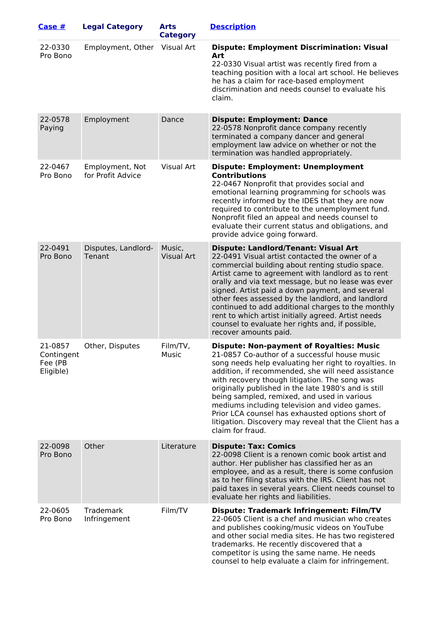| Case #                                        | <b>Legal Category</b>                | <b>Arts</b><br><b>Category</b> | <b>Description</b>                                                                                                                                                                                                                                                                                                                                                                                                                                                                                                                                            |
|-----------------------------------------------|--------------------------------------|--------------------------------|---------------------------------------------------------------------------------------------------------------------------------------------------------------------------------------------------------------------------------------------------------------------------------------------------------------------------------------------------------------------------------------------------------------------------------------------------------------------------------------------------------------------------------------------------------------|
| 22-0330<br>Pro Bono                           | Employment, Other                    | Visual Art                     | <b>Dispute: Employment Discrimination: Visual</b><br>Art<br>22-0330 Visual artist was recently fired from a<br>teaching position with a local art school. He believes<br>he has a claim for race-based employment<br>discrimination and needs counsel to evaluate his<br>claim.                                                                                                                                                                                                                                                                               |
| 22-0578<br>Paying                             | Employment                           | Dance                          | <b>Dispute: Employment: Dance</b><br>22-0578 Nonprofit dance company recently<br>terminated a company dancer and general<br>employment law advice on whether or not the<br>termination was handled appropriately.                                                                                                                                                                                                                                                                                                                                             |
| 22-0467<br>Pro Bono                           | Employment, Not<br>for Profit Advice | Visual Art                     | <b>Dispute: Employment: Unemployment</b><br><b>Contributions</b><br>22-0467 Nonprofit that provides social and<br>emotional learning programming for schools was<br>recently informed by the IDES that they are now<br>required to contribute to the unemployment fund.<br>Nonprofit filed an appeal and needs counsel to<br>evaluate their current status and obligations, and<br>provide advice going forward.                                                                                                                                              |
| 22-0491<br>Pro Bono                           | Disputes, Landlord-<br>Tenant        | Music,<br><b>Visual Art</b>    | <b>Dispute: Landlord/Tenant: Visual Art</b><br>22-0491 Visual artist contacted the owner of a<br>commercial building about renting studio space.<br>Artist came to agreement with landlord as to rent<br>orally and via text message, but no lease was ever<br>signed. Artist paid a down payment, and several<br>other fees assessed by the landlord, and landlord<br>continued to add additional charges to the monthly<br>rent to which artist initially agreed. Artist needs<br>counsel to evaluate her rights and, if possible,<br>recover amounts paid. |
| 21-0857<br>Contingent<br>Fee (PB<br>Eligible) | Other, Disputes                      | Film/TV,<br>Music              | <b>Dispute: Non-payment of Royalties: Music</b><br>21-0857 Co-author of a successful house music<br>song needs help evaluating her right to royalties. In<br>addition, if recommended, she will need assistance<br>with recovery though litigation. The song was<br>originally published in the late 1980's and is still<br>being sampled, remixed, and used in various<br>mediums including television and video games.<br>Prior LCA counsel has exhausted options short of<br>litigation. Discovery may reveal that the Client has a<br>claim for fraud.    |
| 22-0098<br>Pro Bono                           | Other                                | Literature                     | <b>Dispute: Tax: Comics</b><br>22-0098 Client is a renown comic book artist and<br>author. Her publisher has classified her as an<br>employee, and as a result, there is some confusion<br>as to her filing status with the IRS. Client has not<br>paid taxes in several years. Client needs counsel to<br>evaluate her rights and liabilities.                                                                                                                                                                                                               |
| 22-0605<br>Pro Bono                           | Trademark<br>Infringement            | Film/TV                        | <b>Dispute: Trademark Infringement: Film/TV</b><br>22-0605 Client is a chef and musician who creates<br>and publishes cooking/music videos on YouTube<br>and other social media sites. He has two registered<br>trademarks. He recently discovered that a<br>competitor is using the same name. He needs<br>counsel to help evaluate a claim for infringement.                                                                                                                                                                                                |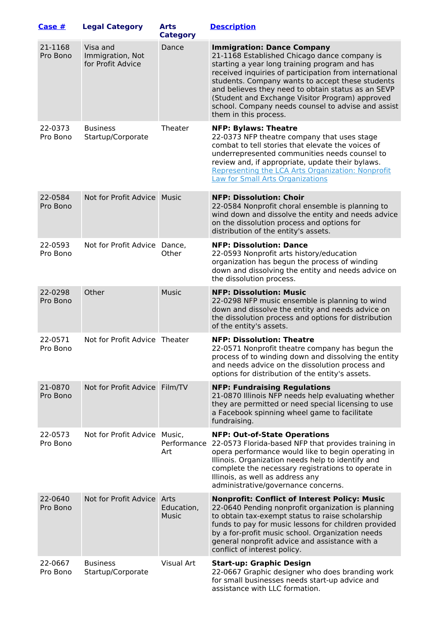| Case #              | <b>Legal Category</b>                             | <b>Arts</b><br><b>Category</b> | <b>Description</b>                                                                                                                                                                                                                                                                                                                                                                                                                       |
|---------------------|---------------------------------------------------|--------------------------------|------------------------------------------------------------------------------------------------------------------------------------------------------------------------------------------------------------------------------------------------------------------------------------------------------------------------------------------------------------------------------------------------------------------------------------------|
| 21-1168<br>Pro Bono | Visa and<br>Immigration, Not<br>for Profit Advice | Dance                          | <b>Immigration: Dance Company</b><br>21-1168 Established Chicago dance company is<br>starting a year long training program and has<br>received inquiries of participation from international<br>students. Company wants to accept these students<br>and believes they need to obtain status as an SEVP<br>(Student and Exchange Visitor Program) approved<br>school. Company needs counsel to advise and assist<br>them in this process. |
| 22-0373<br>Pro Bono | <b>Business</b><br>Startup/Corporate              | Theater                        | <b>NFP: Bylaws: Theatre</b><br>22-0373 NFP theatre company that uses stage<br>combat to tell stories that elevate the voices of<br>underrepresented communities needs counsel to<br>review and, if appropriate, update their bylaws.<br>Representing the LCA Arts Organization: Nonprofit<br><b>Law for Small Arts Organizations</b>                                                                                                     |
| 22-0584<br>Pro Bono | Not for Profit Advice   Music                     |                                | <b>NFP: Dissolution: Choir</b><br>22-0584 Nonprofit choral ensemble is planning to<br>wind down and dissolve the entity and needs advice<br>on the dissolution process and options for<br>distribution of the entity's assets.                                                                                                                                                                                                           |
| 22-0593<br>Pro Bono | Not for Profit Advice Dance,                      | Other                          | <b>NFP: Dissolution: Dance</b><br>22-0593 Nonprofit arts history/education<br>organization has begun the process of winding<br>down and dissolving the entity and needs advice on<br>the dissolution process.                                                                                                                                                                                                                            |
| 22-0298<br>Pro Bono | Other                                             | <b>Music</b>                   | <b>NFP: Dissolution: Music</b><br>22-0298 NFP music ensemble is planning to wind<br>down and dissolve the entity and needs advice on<br>the dissolution process and options for distribution<br>of the entity's assets.                                                                                                                                                                                                                  |
| 22-0571<br>Pro Bono | Not for Profit Advice Theater                     |                                | <b>NFP: Dissolution: Theatre</b><br>22-0571 Nonprofit theatre company has begun the<br>process of to winding down and dissolving the entity<br>and needs advice on the dissolution process and<br>options for distribution of the entity's assets.                                                                                                                                                                                       |
| 21-0870<br>Pro Bono | Not for Profit Advice Film/TV                     |                                | <b>NFP: Fundraising Regulations</b><br>21-0870 Illinois NFP needs help evaluating whether<br>they are permitted or need special licensing to use<br>a Facebook spinning wheel game to facilitate<br>fundraising.                                                                                                                                                                                                                         |
| 22-0573<br>Pro Bono | Not for Profit Advice Music,                      | Performance<br>Art             | <b>NFP: Out-of-State Operations</b><br>22-0573 Florida-based NFP that provides training in<br>opera performance would like to begin operating in<br>Illinois. Organization needs help to identify and<br>complete the necessary registrations to operate in<br>Illinois, as well as address any<br>administrative/governance concerns.                                                                                                   |
| 22-0640<br>Pro Bono | Not for Profit Advice Arts                        | Education,<br>Music            | <b>Nonprofit: Conflict of Interest Policy: Music</b><br>22-0640 Pending nonprofit organization is planning<br>to obtain tax-exempt status to raise scholarship<br>funds to pay for music lessons for children provided<br>by a for-profit music school. Organization needs<br>general nonprofit advice and assistance with a<br>conflict of interest policy.                                                                             |
| 22-0667<br>Pro Bono | <b>Business</b><br>Startup/Corporate              | Visual Art                     | <b>Start-up: Graphic Design</b><br>22-0667 Graphic designer who does branding work<br>for small businesses needs start-up advice and<br>assistance with LLC formation.                                                                                                                                                                                                                                                                   |